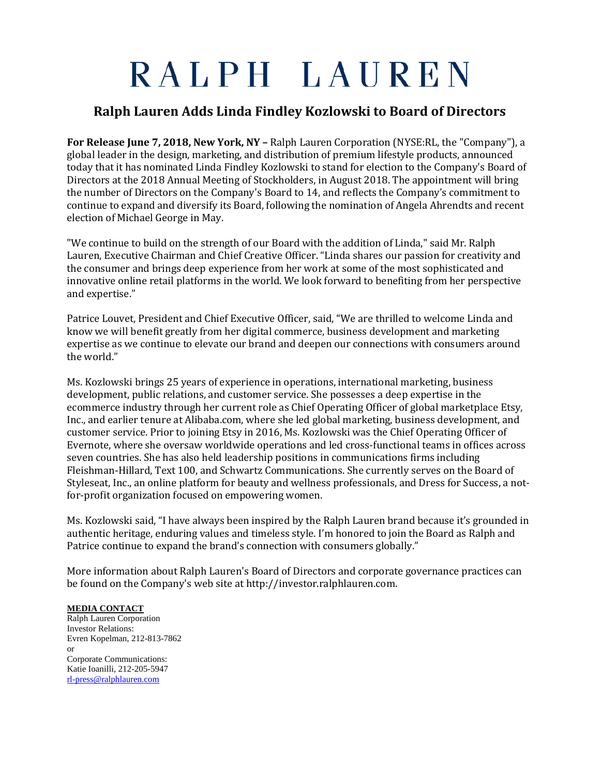## RALPH LAUREN

## **Ralph Lauren Adds Linda Findley Kozlowski to Board of Directors**

**For Release June 7, 2018, New York, NY –** Ralph Lauren Corporation (NYSE:RL, the "Company"), a global leader in the design, marketing, and distribution of premium lifestyle products, announced today that it has nominated Linda Findley Kozlowski to stand for election to the Company's Board of Directors at the 2018 Annual Meeting of Stockholders, in August 2018. The appointment will bring the number of Directors on the Company's Board to 14, and reflects the Company's commitment to continue to expand and diversify its Board, following the nomination of Angela Ahrendts and recent election of Michael George in May.

"We continue to build on the strength of our Board with the addition of Linda," said Mr. Ralph Lauren, Executive Chairman and Chief Creative Officer. "Linda shares our passion for creativity and the consumer and brings deep experience from her work at some of the most sophisticated and innovative online retail platforms in the world. We look forward to benefiting from her perspective and expertise."

Patrice Louvet, President and Chief Executive Officer, said, "We are thrilled to welcome Linda and know we will benefit greatly from her digital commerce, business development and marketing expertise as we continue to elevate our brand and deepen our connections with consumers around the world."

Ms. Kozlowski brings 25 years of experience in operations, international marketing, business development, public relations, and customer service. She possesses a deep expertise in the ecommerce industry through her current role as Chief Operating Officer of global marketplace Etsy, Inc., and earlier tenure at Alibaba.com, where she led global marketing, business development, and customer service. Prior to joining Etsy in 2016, Ms. Kozlowski was the Chief Operating Officer of Evernote, where she oversaw worldwide operations and led cross-functional teams in offices across seven countries. She has also held leadership positions in communications firms including Fleishman-Hillard, Text 100, and Schwartz Communications. She currently serves on the Board of Styleseat, Inc., an online platform for beauty and wellness professionals, and Dress for Success, a notfor-profit organization focused on empowering women.

Ms. Kozlowski said, "I have always been inspired by the Ralph Lauren brand because it's grounded in authentic heritage, enduring values and timeless style. I'm honored to join the Board as Ralph and Patrice continue to expand the brand's connection with consumers globally."

More information about Ralph Lauren's Board of Directors and corporate governance practices can be found on the Company's web site at http://investor.ralphlauren.com.

## **MEDIA CONTACT**

Ralph Lauren Corporation Investor Relations: Evren Kopelman, 212-813-7862 or Corporate Communications: Katie Ioanilli, 212-205-5947 [rl-press@ralphlauren.com](mailto:rl-press@ralphlauren.com)